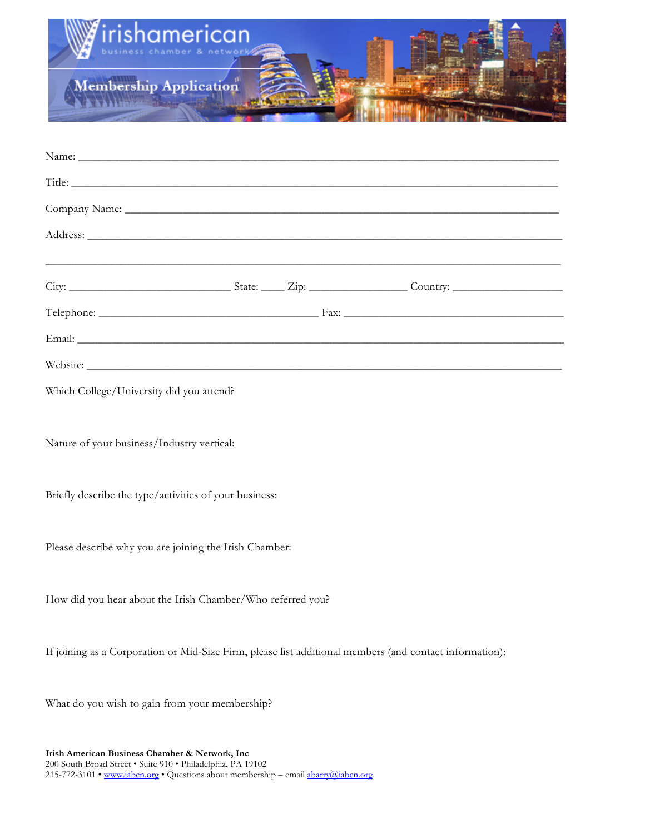

| Website:                                               |  |  |  |  |  |  |
|--------------------------------------------------------|--|--|--|--|--|--|
| Which College/University did you attend?               |  |  |  |  |  |  |
|                                                        |  |  |  |  |  |  |
| Nature of your business/Industry vertical:             |  |  |  |  |  |  |
|                                                        |  |  |  |  |  |  |
| Briefly describe the type/activities of your business: |  |  |  |  |  |  |

Please describe why you are joining the Irish Chamber:

How did you hear about the Irish Chamber/Who referred you?

If joining as a Corporation or Mid-Size Firm, please list additional members (and contact information):

What do you wish to gain from your membership?